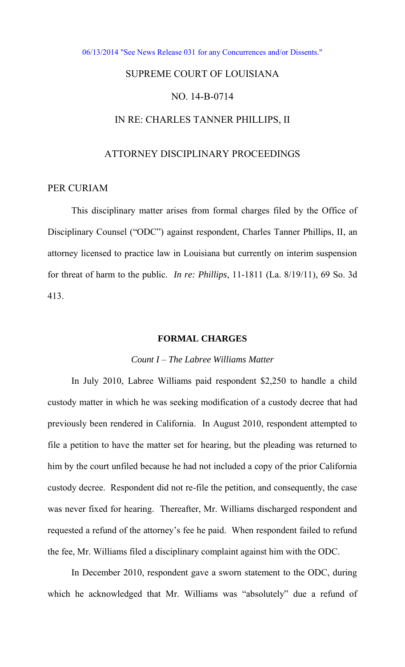#### [06/13/2014 "See News Release 031 for any Concurrences and/or Dissents."](http://www.lasc.org/Actions?p=2014-031)

# SUPREME COURT OF LOUISIANA

# NO. 14-B-0714

## IN RE: CHARLES TANNER PHILLIPS, II

#### ATTORNEY DISCIPLINARY PROCEEDINGS

# PER CURIAM

This disciplinary matter arises from formal charges filed by the Office of Disciplinary Counsel ("ODC") against respondent, Charles Tanner Phillips, II, an attorney licensed to practice law in Louisiana but currently on interim suspension for threat of harm to the public. *In re: Phillips*, 11-1811 (La. 8/19/11), 69 So. 3d 413.

#### **FORMAL CHARGES**

## *Count I – The Labree Williams Matter*

In July 2010, Labree Williams paid respondent \$2,250 to handle a child custody matter in which he was seeking modification of a custody decree that had previously been rendered in California. In August 2010, respondent attempted to file a petition to have the matter set for hearing, but the pleading was returned to him by the court unfiled because he had not included a copy of the prior California custody decree. Respondent did not re-file the petition, and consequently, the case was never fixed for hearing. Thereafter, Mr. Williams discharged respondent and requested a refund of the attorney's fee he paid. When respondent failed to refund the fee, Mr. Williams filed a disciplinary complaint against him with the ODC.

In December 2010, respondent gave a sworn statement to the ODC, during which he acknowledged that Mr. Williams was "absolutely" due a refund of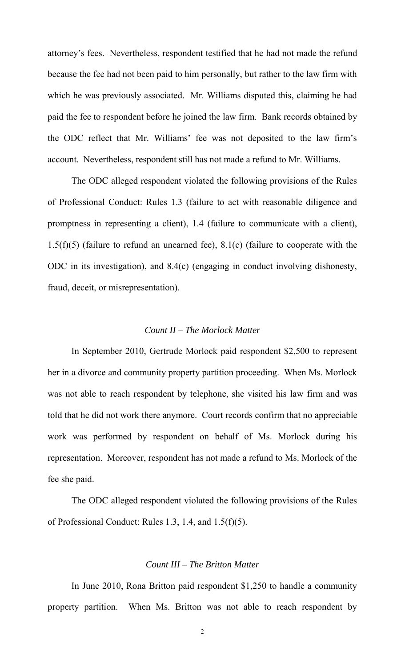attorney's fees. Nevertheless, respondent testified that he had not made the refund because the fee had not been paid to him personally, but rather to the law firm with which he was previously associated. Mr. Williams disputed this, claiming he had paid the fee to respondent before he joined the law firm. Bank records obtained by the ODC reflect that Mr. Williams' fee was not deposited to the law firm's account. Nevertheless, respondent still has not made a refund to Mr. Williams.

The ODC alleged respondent violated the following provisions of the Rules of Professional Conduct: Rules 1.3 (failure to act with reasonable diligence and promptness in representing a client), 1.4 (failure to communicate with a client),  $1.5(f)(5)$  (failure to refund an unearned fee),  $8.1(c)$  (failure to cooperate with the ODC in its investigation), and 8.4(c) (engaging in conduct involving dishonesty, fraud, deceit, or misrepresentation).

#### *Count II – The Morlock Matter*

 In September 2010, Gertrude Morlock paid respondent \$2,500 to represent her in a divorce and community property partition proceeding. When Ms. Morlock was not able to reach respondent by telephone, she visited his law firm and was told that he did not work there anymore. Court records confirm that no appreciable work was performed by respondent on behalf of Ms. Morlock during his representation. Moreover, respondent has not made a refund to Ms. Morlock of the fee she paid.

The ODC alleged respondent violated the following provisions of the Rules of Professional Conduct: Rules 1.3, 1.4, and 1.5(f)(5).

#### *Count III – The Britton Matter*

 In June 2010, Rona Britton paid respondent \$1,250 to handle a community property partition. When Ms. Britton was not able to reach respondent by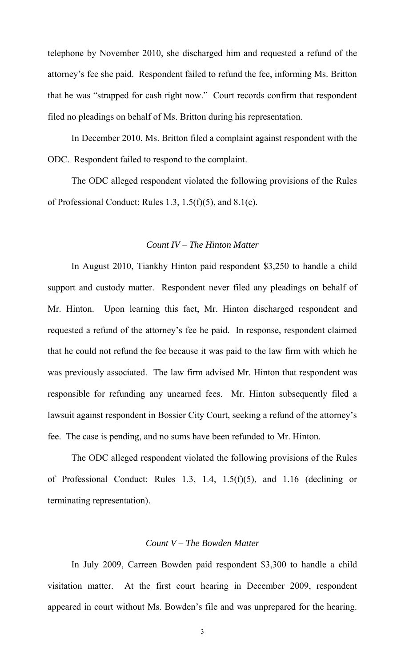telephone by November 2010, she discharged him and requested a refund of the attorney's fee she paid. Respondent failed to refund the fee, informing Ms. Britton that he was "strapped for cash right now." Court records confirm that respondent filed no pleadings on behalf of Ms. Britton during his representation.

In December 2010, Ms. Britton filed a complaint against respondent with the ODC. Respondent failed to respond to the complaint.

The ODC alleged respondent violated the following provisions of the Rules of Professional Conduct: Rules 1.3, 1.5(f)(5), and 8.1(c).

#### *Count IV – The Hinton Matter*

 In August 2010, Tiankhy Hinton paid respondent \$3,250 to handle a child support and custody matter. Respondent never filed any pleadings on behalf of Mr. Hinton. Upon learning this fact, Mr. Hinton discharged respondent and requested a refund of the attorney's fee he paid. In response, respondent claimed that he could not refund the fee because it was paid to the law firm with which he was previously associated. The law firm advised Mr. Hinton that respondent was responsible for refunding any unearned fees. Mr. Hinton subsequently filed a lawsuit against respondent in Bossier City Court, seeking a refund of the attorney's fee. The case is pending, and no sums have been refunded to Mr. Hinton.

The ODC alleged respondent violated the following provisions of the Rules of Professional Conduct: Rules 1.3, 1.4, 1.5(f)(5), and 1.16 (declining or terminating representation).

## *Count V – The Bowden Matter*

In July 2009, Carreen Bowden paid respondent \$3,300 to handle a child visitation matter. At the first court hearing in December 2009, respondent appeared in court without Ms. Bowden's file and was unprepared for the hearing.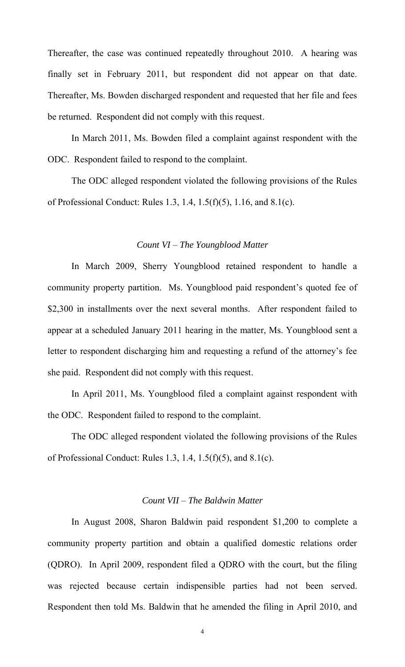Thereafter, the case was continued repeatedly throughout 2010. A hearing was finally set in February 2011, but respondent did not appear on that date. Thereafter, Ms. Bowden discharged respondent and requested that her file and fees be returned. Respondent did not comply with this request.

In March 2011, Ms. Bowden filed a complaint against respondent with the ODC. Respondent failed to respond to the complaint.

The ODC alleged respondent violated the following provisions of the Rules of Professional Conduct: Rules 1.3, 1.4, 1.5(f)(5), 1.16, and 8.1(c).

#### *Count VI – The Youngblood Matter*

In March 2009, Sherry Youngblood retained respondent to handle a community property partition. Ms. Youngblood paid respondent's quoted fee of \$2,300 in installments over the next several months. After respondent failed to appear at a scheduled January 2011 hearing in the matter, Ms. Youngblood sent a letter to respondent discharging him and requesting a refund of the attorney's fee she paid. Respondent did not comply with this request.

In April 2011, Ms. Youngblood filed a complaint against respondent with the ODC. Respondent failed to respond to the complaint.

The ODC alleged respondent violated the following provisions of the Rules of Professional Conduct: Rules 1.3, 1.4, 1.5(f)(5), and 8.1(c).

## *Count VII – The Baldwin Matter*

In August 2008, Sharon Baldwin paid respondent \$1,200 to complete a community property partition and obtain a qualified domestic relations order (QDRO). In April 2009, respondent filed a QDRO with the court, but the filing was rejected because certain indispensible parties had not been served. Respondent then told Ms. Baldwin that he amended the filing in April 2010, and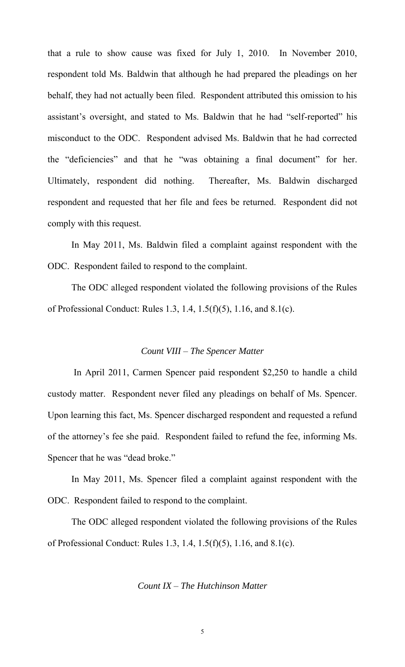that a rule to show cause was fixed for July 1, 2010. In November 2010, respondent told Ms. Baldwin that although he had prepared the pleadings on her behalf, they had not actually been filed. Respondent attributed this omission to his assistant's oversight, and stated to Ms. Baldwin that he had "self-reported" his misconduct to the ODC. Respondent advised Ms. Baldwin that he had corrected the "deficiencies" and that he "was obtaining a final document" for her. Ultimately, respondent did nothing. Thereafter, Ms. Baldwin discharged respondent and requested that her file and fees be returned. Respondent did not comply with this request.

In May 2011, Ms. Baldwin filed a complaint against respondent with the ODC. Respondent failed to respond to the complaint.

The ODC alleged respondent violated the following provisions of the Rules of Professional Conduct: Rules 1.3, 1.4, 1.5(f)(5), 1.16, and 8.1(c).

#### *Count VIII – The Spencer Matter*

 In April 2011, Carmen Spencer paid respondent \$2,250 to handle a child custody matter. Respondent never filed any pleadings on behalf of Ms. Spencer. Upon learning this fact, Ms. Spencer discharged respondent and requested a refund of the attorney's fee she paid. Respondent failed to refund the fee, informing Ms. Spencer that he was "dead broke."

In May 2011, Ms. Spencer filed a complaint against respondent with the ODC. Respondent failed to respond to the complaint.

The ODC alleged respondent violated the following provisions of the Rules of Professional Conduct: Rules 1.3, 1.4, 1.5(f)(5), 1.16, and 8.1(c).

# *Count IX – The Hutchinson Matter*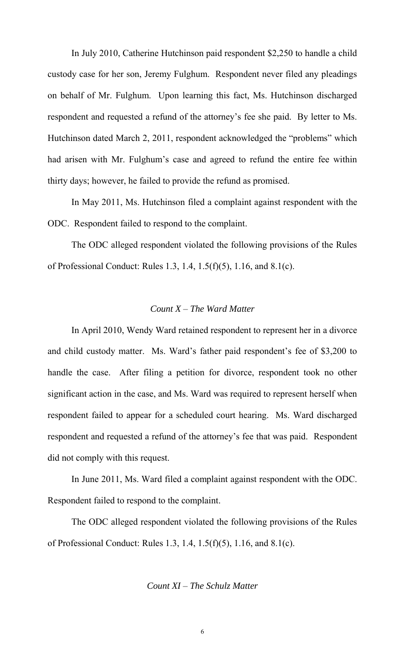In July 2010, Catherine Hutchinson paid respondent \$2,250 to handle a child custody case for her son, Jeremy Fulghum. Respondent never filed any pleadings on behalf of Mr. Fulghum. Upon learning this fact, Ms. Hutchinson discharged respondent and requested a refund of the attorney's fee she paid. By letter to Ms. Hutchinson dated March 2, 2011, respondent acknowledged the "problems" which had arisen with Mr. Fulghum's case and agreed to refund the entire fee within thirty days; however, he failed to provide the refund as promised.

In May 2011, Ms. Hutchinson filed a complaint against respondent with the ODC. Respondent failed to respond to the complaint.

The ODC alleged respondent violated the following provisions of the Rules of Professional Conduct: Rules 1.3, 1.4, 1.5(f)(5), 1.16, and 8.1(c).

#### *Count X – The Ward Matter*

In April 2010, Wendy Ward retained respondent to represent her in a divorce and child custody matter. Ms. Ward's father paid respondent's fee of \$3,200 to handle the case. After filing a petition for divorce, respondent took no other significant action in the case, and Ms. Ward was required to represent herself when respondent failed to appear for a scheduled court hearing. Ms. Ward discharged respondent and requested a refund of the attorney's fee that was paid. Respondent did not comply with this request.

In June 2011, Ms. Ward filed a complaint against respondent with the ODC. Respondent failed to respond to the complaint.

The ODC alleged respondent violated the following provisions of the Rules of Professional Conduct: Rules 1.3, 1.4, 1.5(f)(5), 1.16, and 8.1(c).

#### *Count XI – The Schulz Matter*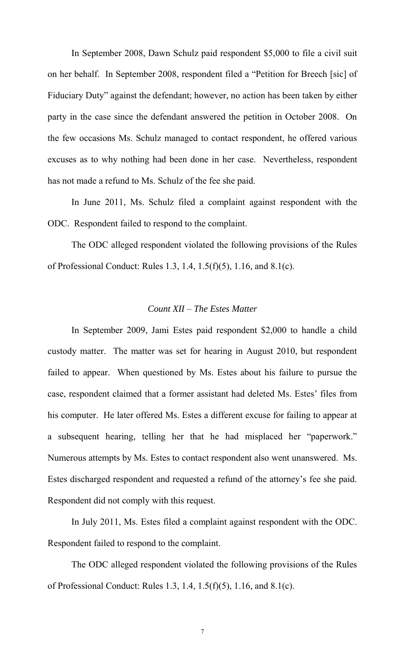In September 2008, Dawn Schulz paid respondent \$5,000 to file a civil suit on her behalf. In September 2008, respondent filed a "Petition for Breech [sic] of Fiduciary Duty" against the defendant; however, no action has been taken by either party in the case since the defendant answered the petition in October 2008. On the few occasions Ms. Schulz managed to contact respondent, he offered various excuses as to why nothing had been done in her case. Nevertheless, respondent has not made a refund to Ms. Schulz of the fee she paid.

In June 2011, Ms. Schulz filed a complaint against respondent with the ODC. Respondent failed to respond to the complaint.

The ODC alleged respondent violated the following provisions of the Rules of Professional Conduct: Rules 1.3, 1.4, 1.5(f)(5), 1.16, and 8.1(c).

#### *Count XII – The Estes Matter*

In September 2009, Jami Estes paid respondent \$2,000 to handle a child custody matter. The matter was set for hearing in August 2010, but respondent failed to appear. When questioned by Ms. Estes about his failure to pursue the case, respondent claimed that a former assistant had deleted Ms. Estes' files from his computer. He later offered Ms. Estes a different excuse for failing to appear at a subsequent hearing, telling her that he had misplaced her "paperwork." Numerous attempts by Ms. Estes to contact respondent also went unanswered. Ms. Estes discharged respondent and requested a refund of the attorney's fee she paid. Respondent did not comply with this request.

In July 2011, Ms. Estes filed a complaint against respondent with the ODC. Respondent failed to respond to the complaint.

The ODC alleged respondent violated the following provisions of the Rules of Professional Conduct: Rules 1.3, 1.4, 1.5(f)(5), 1.16, and 8.1(c).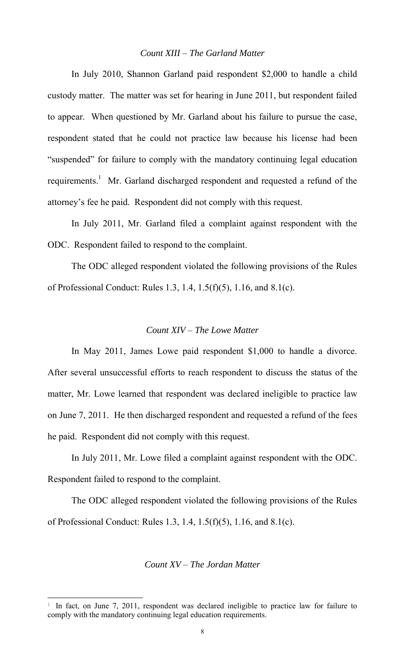## *Count XIII – The Garland Matter*

In July 2010, Shannon Garland paid respondent \$2,000 to handle a child custody matter. The matter was set for hearing in June 2011, but respondent failed to appear. When questioned by Mr. Garland about his failure to pursue the case, respondent stated that he could not practice law because his license had been "suspended" for failure to comply with the mandatory continuing legal education requirements.<sup>1</sup> Mr. Garland discharged respondent and requested a refund of the attorney's fee he paid. Respondent did not comply with this request.

In July 2011, Mr. Garland filed a complaint against respondent with the ODC. Respondent failed to respond to the complaint.

The ODC alleged respondent violated the following provisions of the Rules of Professional Conduct: Rules 1.3, 1.4, 1.5(f)(5), 1.16, and 8.1(c).

## *Count XIV – The Lowe Matter*

In May 2011, James Lowe paid respondent \$1,000 to handle a divorce. After several unsuccessful efforts to reach respondent to discuss the status of the matter, Mr. Lowe learned that respondent was declared ineligible to practice law on June 7, 2011. He then discharged respondent and requested a refund of the fees he paid. Respondent did not comply with this request.

In July 2011, Mr. Lowe filed a complaint against respondent with the ODC. Respondent failed to respond to the complaint.

The ODC alleged respondent violated the following provisions of the Rules of Professional Conduct: Rules 1.3, 1.4, 1.5(f)(5), 1.16, and 8.1(c).

## *Count XV – The Jordan Matter*

 $\overline{a}$ 

<sup>&</sup>lt;sup>1</sup> In fact, on June 7, 2011, respondent was declared ineligible to practice law for failure to comply with the mandatory continuing legal education requirements.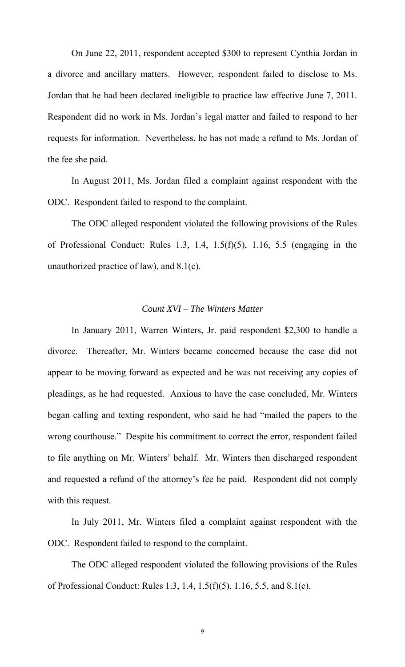On June 22, 2011, respondent accepted \$300 to represent Cynthia Jordan in a divorce and ancillary matters. However, respondent failed to disclose to Ms. Jordan that he had been declared ineligible to practice law effective June 7, 2011. Respondent did no work in Ms. Jordan's legal matter and failed to respond to her requests for information. Nevertheless, he has not made a refund to Ms. Jordan of the fee she paid.

In August 2011, Ms. Jordan filed a complaint against respondent with the ODC. Respondent failed to respond to the complaint.

The ODC alleged respondent violated the following provisions of the Rules of Professional Conduct: Rules 1.3, 1.4, 1.5( $f$ )(5), 1.16, 5.5 (engaging in the unauthorized practice of law), and 8.1(c).

#### *Count XVI – The Winters Matter*

In January 2011, Warren Winters, Jr. paid respondent \$2,300 to handle a divorce. Thereafter, Mr. Winters became concerned because the case did not appear to be moving forward as expected and he was not receiving any copies of pleadings, as he had requested. Anxious to have the case concluded, Mr. Winters began calling and texting respondent, who said he had "mailed the papers to the wrong courthouse." Despite his commitment to correct the error, respondent failed to file anything on Mr. Winters' behalf. Mr. Winters then discharged respondent and requested a refund of the attorney's fee he paid. Respondent did not comply with this request.

In July 2011, Mr. Winters filed a complaint against respondent with the ODC. Respondent failed to respond to the complaint.

The ODC alleged respondent violated the following provisions of the Rules of Professional Conduct: Rules 1.3, 1.4, 1.5(f)(5), 1.16, 5.5, and 8.1(c).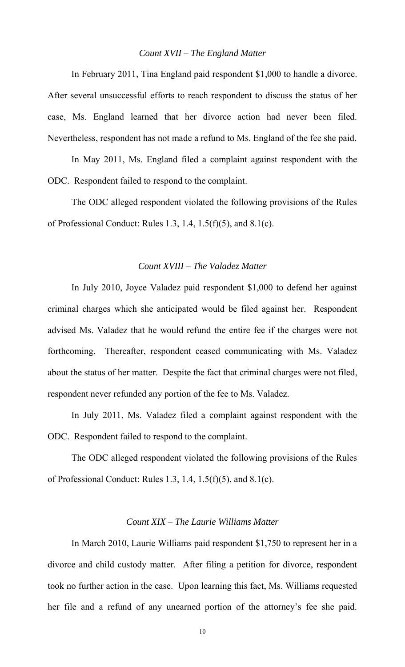#### *Count XVII – The England Matter*

In February 2011, Tina England paid respondent \$1,000 to handle a divorce. After several unsuccessful efforts to reach respondent to discuss the status of her case, Ms. England learned that her divorce action had never been filed. Nevertheless, respondent has not made a refund to Ms. England of the fee she paid.

In May 2011, Ms. England filed a complaint against respondent with the ODC. Respondent failed to respond to the complaint.

The ODC alleged respondent violated the following provisions of the Rules of Professional Conduct: Rules 1.3, 1.4, 1.5(f)(5), and 8.1(c).

## *Count XVIII – The Valadez Matter*

 In July 2010, Joyce Valadez paid respondent \$1,000 to defend her against criminal charges which she anticipated would be filed against her. Respondent advised Ms. Valadez that he would refund the entire fee if the charges were not forthcoming. Thereafter, respondent ceased communicating with Ms. Valadez about the status of her matter. Despite the fact that criminal charges were not filed, respondent never refunded any portion of the fee to Ms. Valadez.

In July 2011, Ms. Valadez filed a complaint against respondent with the ODC. Respondent failed to respond to the complaint.

The ODC alleged respondent violated the following provisions of the Rules of Professional Conduct: Rules 1.3, 1.4, 1.5(f)(5), and 8.1(c).

# *Count XIX – The Laurie Williams Matter*

 In March 2010, Laurie Williams paid respondent \$1,750 to represent her in a divorce and child custody matter. After filing a petition for divorce, respondent took no further action in the case. Upon learning this fact, Ms. Williams requested her file and a refund of any unearned portion of the attorney's fee she paid.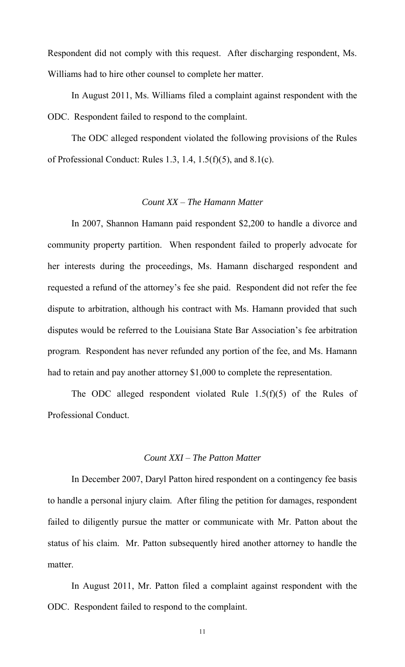Respondent did not comply with this request. After discharging respondent, Ms. Williams had to hire other counsel to complete her matter.

In August 2011, Ms. Williams filed a complaint against respondent with the ODC. Respondent failed to respond to the complaint.

The ODC alleged respondent violated the following provisions of the Rules of Professional Conduct: Rules 1.3, 1.4, 1.5(f)(5), and 8.1(c).

## *Count XX – The Hamann Matter*

 In 2007, Shannon Hamann paid respondent \$2,200 to handle a divorce and community property partition. When respondent failed to properly advocate for her interests during the proceedings, Ms. Hamann discharged respondent and requested a refund of the attorney's fee she paid. Respondent did not refer the fee dispute to arbitration, although his contract with Ms. Hamann provided that such disputes would be referred to the Louisiana State Bar Association's fee arbitration program. Respondent has never refunded any portion of the fee, and Ms. Hamann had to retain and pay another attorney \$1,000 to complete the representation.

The ODC alleged respondent violated Rule 1.5(f)(5) of the Rules of Professional Conduct.

#### *Count XXI – The Patton Matter*

 In December 2007, Daryl Patton hired respondent on a contingency fee basis to handle a personal injury claim. After filing the petition for damages, respondent failed to diligently pursue the matter or communicate with Mr. Patton about the status of his claim. Mr. Patton subsequently hired another attorney to handle the matter.

In August 2011, Mr. Patton filed a complaint against respondent with the ODC. Respondent failed to respond to the complaint.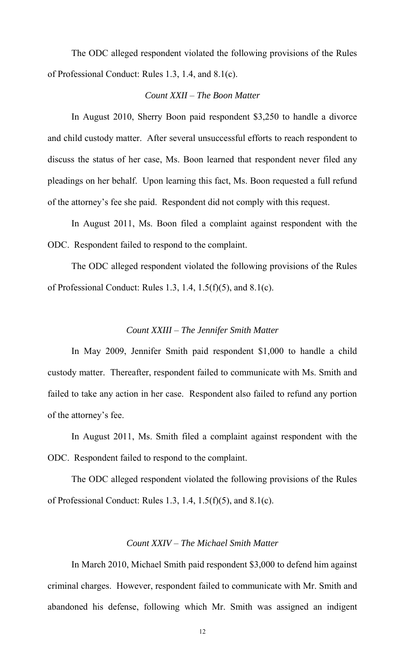The ODC alleged respondent violated the following provisions of the Rules of Professional Conduct: Rules 1.3, 1.4, and 8.1(c).

# *Count XXII – The Boon Matter*

 In August 2010, Sherry Boon paid respondent \$3,250 to handle a divorce and child custody matter. After several unsuccessful efforts to reach respondent to discuss the status of her case, Ms. Boon learned that respondent never filed any pleadings on her behalf. Upon learning this fact, Ms. Boon requested a full refund of the attorney's fee she paid. Respondent did not comply with this request.

In August 2011, Ms. Boon filed a complaint against respondent with the ODC. Respondent failed to respond to the complaint.

The ODC alleged respondent violated the following provisions of the Rules of Professional Conduct: Rules 1.3, 1.4, 1.5(f)(5), and 8.1(c).

## *Count XXIII – The Jennifer Smith Matter*

 In May 2009, Jennifer Smith paid respondent \$1,000 to handle a child custody matter. Thereafter, respondent failed to communicate with Ms. Smith and failed to take any action in her case. Respondent also failed to refund any portion of the attorney's fee.

In August 2011, Ms. Smith filed a complaint against respondent with the ODC. Respondent failed to respond to the complaint.

The ODC alleged respondent violated the following provisions of the Rules of Professional Conduct: Rules 1.3, 1.4, 1.5(f)(5), and 8.1(c).

#### *Count XXIV – The Michael Smith Matter*

 In March 2010, Michael Smith paid respondent \$3,000 to defend him against criminal charges. However, respondent failed to communicate with Mr. Smith and abandoned his defense, following which Mr. Smith was assigned an indigent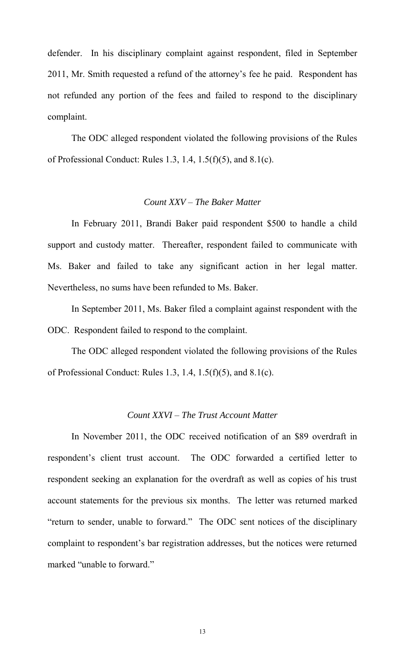defender. In his disciplinary complaint against respondent, filed in September 2011, Mr. Smith requested a refund of the attorney's fee he paid. Respondent has not refunded any portion of the fees and failed to respond to the disciplinary complaint.

The ODC alleged respondent violated the following provisions of the Rules of Professional Conduct: Rules 1.3, 1.4, 1.5(f)(5), and 8.1(c).

# *Count XXV – The Baker Matter*

 In February 2011, Brandi Baker paid respondent \$500 to handle a child support and custody matter. Thereafter, respondent failed to communicate with Ms. Baker and failed to take any significant action in her legal matter. Nevertheless, no sums have been refunded to Ms. Baker.

 In September 2011, Ms. Baker filed a complaint against respondent with the ODC. Respondent failed to respond to the complaint.

The ODC alleged respondent violated the following provisions of the Rules of Professional Conduct: Rules 1.3, 1.4, 1.5(f)(5), and 8.1(c).

## *Count XXVI – The Trust Account Matter*

 In November 2011, the ODC received notification of an \$89 overdraft in respondent's client trust account. The ODC forwarded a certified letter to respondent seeking an explanation for the overdraft as well as copies of his trust account statements for the previous six months. The letter was returned marked "return to sender, unable to forward." The ODC sent notices of the disciplinary complaint to respondent's bar registration addresses, but the notices were returned marked "unable to forward."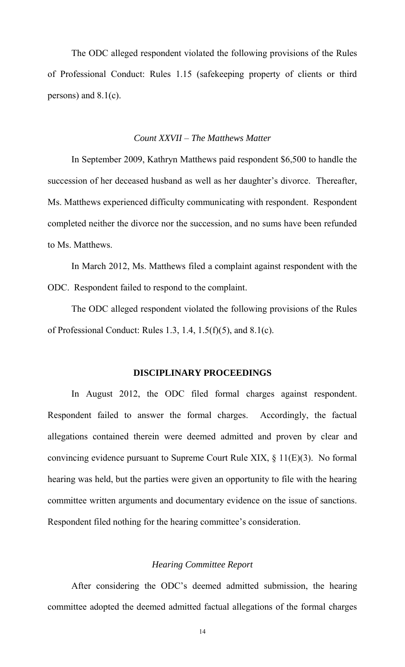The ODC alleged respondent violated the following provisions of the Rules of Professional Conduct: Rules 1.15 (safekeeping property of clients or third persons) and 8.1(c).

#### *Count XXVII – The Matthews Matter*

 In September 2009, Kathryn Matthews paid respondent \$6,500 to handle the succession of her deceased husband as well as her daughter's divorce. Thereafter, Ms. Matthews experienced difficulty communicating with respondent. Respondent completed neither the divorce nor the succession, and no sums have been refunded to Ms. Matthews.

In March 2012, Ms. Matthews filed a complaint against respondent with the ODC. Respondent failed to respond to the complaint.

The ODC alleged respondent violated the following provisions of the Rules of Professional Conduct: Rules 1.3, 1.4, 1.5(f)(5), and 8.1(c).

#### **DISCIPLINARY PROCEEDINGS**

In August 2012, the ODC filed formal charges against respondent. Respondent failed to answer the formal charges. Accordingly, the factual allegations contained therein were deemed admitted and proven by clear and convincing evidence pursuant to Supreme Court Rule XIX, § 11(E)(3). No formal hearing was held, but the parties were given an opportunity to file with the hearing committee written arguments and documentary evidence on the issue of sanctions. Respondent filed nothing for the hearing committee's consideration.

#### *Hearing Committee Report*

After considering the ODC's deemed admitted submission, the hearing committee adopted the deemed admitted factual allegations of the formal charges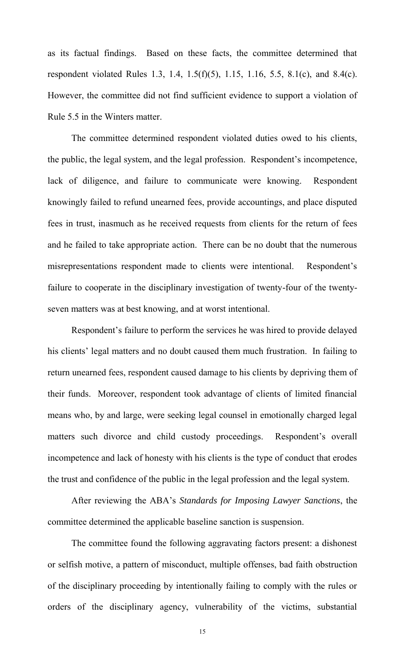as its factual findings. Based on these facts, the committee determined that respondent violated Rules 1.3, 1.4, 1.5(f)(5), 1.15, 1.16, 5.5, 8.1(c), and 8.4(c). However, the committee did not find sufficient evidence to support a violation of Rule 5.5 in the Winters matter.

The committee determined respondent violated duties owed to his clients, the public, the legal system, and the legal profession. Respondent's incompetence, lack of diligence, and failure to communicate were knowing. Respondent knowingly failed to refund unearned fees, provide accountings, and place disputed fees in trust, inasmuch as he received requests from clients for the return of fees and he failed to take appropriate action. There can be no doubt that the numerous misrepresentations respondent made to clients were intentional. Respondent's failure to cooperate in the disciplinary investigation of twenty-four of the twentyseven matters was at best knowing, and at worst intentional.

 Respondent's failure to perform the services he was hired to provide delayed his clients' legal matters and no doubt caused them much frustration. In failing to return unearned fees, respondent caused damage to his clients by depriving them of their funds. Moreover, respondent took advantage of clients of limited financial means who, by and large, were seeking legal counsel in emotionally charged legal matters such divorce and child custody proceedings. Respondent's overall incompetence and lack of honesty with his clients is the type of conduct that erodes the trust and confidence of the public in the legal profession and the legal system.

After reviewing the ABA's *Standards for Imposing Lawyer Sanctions*, the committee determined the applicable baseline sanction is suspension.

The committee found the following aggravating factors present: a dishonest or selfish motive, a pattern of misconduct, multiple offenses, bad faith obstruction of the disciplinary proceeding by intentionally failing to comply with the rules or orders of the disciplinary agency, vulnerability of the victims, substantial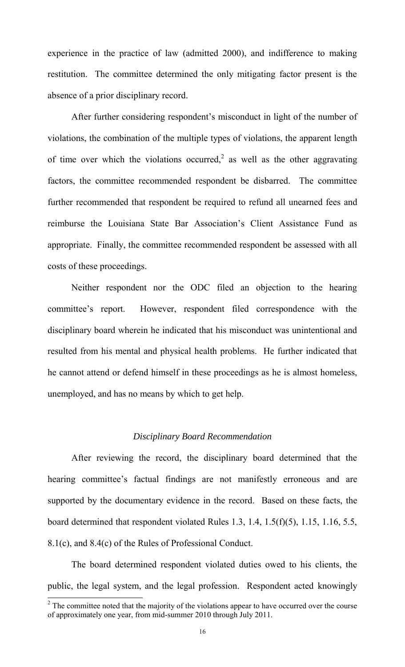experience in the practice of law (admitted 2000), and indifference to making restitution. The committee determined the only mitigating factor present is the absence of a prior disciplinary record.

After further considering respondent's misconduct in light of the number of violations, the combination of the multiple types of violations, the apparent length of time over which the violations occurred,<sup>2</sup> as well as the other aggravating factors, the committee recommended respondent be disbarred. The committee further recommended that respondent be required to refund all unearned fees and reimburse the Louisiana State Bar Association's Client Assistance Fund as appropriate. Finally, the committee recommended respondent be assessed with all costs of these proceedings.

 Neither respondent nor the ODC filed an objection to the hearing committee's report. However, respondent filed correspondence with the disciplinary board wherein he indicated that his misconduct was unintentional and resulted from his mental and physical health problems. He further indicated that he cannot attend or defend himself in these proceedings as he is almost homeless, unemployed, and has no means by which to get help.

#### *Disciplinary Board Recommendation*

 After reviewing the record, the disciplinary board determined that the hearing committee's factual findings are not manifestly erroneous and are supported by the documentary evidence in the record. Based on these facts, the board determined that respondent violated Rules 1.3, 1.4, 1.5(f)(5), 1.15, 1.16, 5.5, 8.1(c), and 8.4(c) of the Rules of Professional Conduct.

The board determined respondent violated duties owed to his clients, the public, the legal system, and the legal profession. Respondent acted knowingly

 $\frac{1}{2}$  The committee noted that the majority of the violations appear to have occurred over the course of approximately one year, from mid-summer 2010 through July 2011.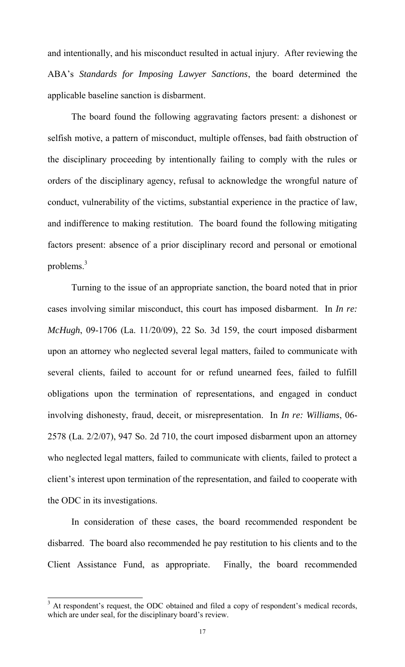and intentionally, and his misconduct resulted in actual injury. After reviewing the ABA's *Standards for Imposing Lawyer Sanctions*, the board determined the applicable baseline sanction is disbarment.

The board found the following aggravating factors present: a dishonest or selfish motive, a pattern of misconduct, multiple offenses, bad faith obstruction of the disciplinary proceeding by intentionally failing to comply with the rules or orders of the disciplinary agency, refusal to acknowledge the wrongful nature of conduct, vulnerability of the victims, substantial experience in the practice of law, and indifference to making restitution. The board found the following mitigating factors present: absence of a prior disciplinary record and personal or emotional problems. $3$ 

 Turning to the issue of an appropriate sanction, the board noted that in prior cases involving similar misconduct, this court has imposed disbarment. In *In re: McHugh*, 09-1706 (La. 11/20/09), 22 So. 3d 159, the court imposed disbarment upon an attorney who neglected several legal matters, failed to communicate with several clients, failed to account for or refund unearned fees, failed to fulfill obligations upon the termination of representations, and engaged in conduct involving dishonesty, fraud, deceit, or misrepresentation. In *In re: Williams*, 06- 2578 (La. 2/2/07), 947 So. 2d 710, the court imposed disbarment upon an attorney who neglected legal matters, failed to communicate with clients, failed to protect a client's interest upon termination of the representation, and failed to cooperate with the ODC in its investigations.

In consideration of these cases, the board recommended respondent be disbarred. The board also recommended he pay restitution to his clients and to the Client Assistance Fund, as appropriate. Finally, the board recommended

<sup>&</sup>lt;sup>3</sup> At respondent's request, the ODC obtained and filed a copy of respondent's medical records, which are under seal, for the disciplinary board's review.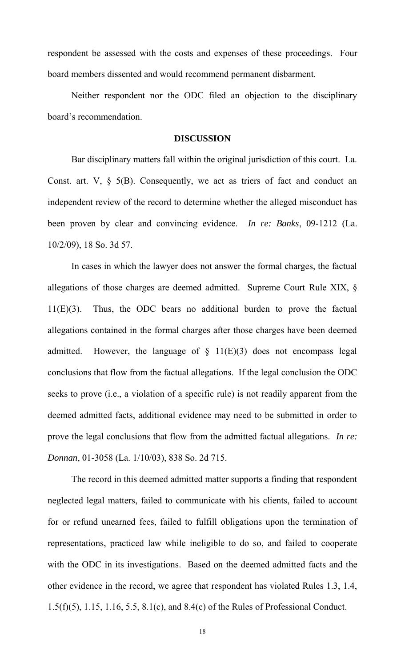respondent be assessed with the costs and expenses of these proceedings. Four board members dissented and would recommend permanent disbarment.

 Neither respondent nor the ODC filed an objection to the disciplinary board's recommendation.

#### **DISCUSSION**

Bar disciplinary matters fall within the original jurisdiction of this court. La. Const. art.  $V$ ,  $\S$  5(B). Consequently, we act as triers of fact and conduct an independent review of the record to determine whether the alleged misconduct has been proven by clear and convincing evidence. *In re: Banks*, 09-1212 (La. 10/2/09), 18 So. 3d 57.

In cases in which the lawyer does not answer the formal charges, the factual allegations of those charges are deemed admitted. Supreme Court Rule XIX, § 11(E)(3). Thus, the ODC bears no additional burden to prove the factual allegations contained in the formal charges after those charges have been deemed admitted. However, the language of  $\S$  11(E)(3) does not encompass legal conclusions that flow from the factual allegations. If the legal conclusion the ODC seeks to prove (i.e., a violation of a specific rule) is not readily apparent from the deemed admitted facts, additional evidence may need to be submitted in order to prove the legal conclusions that flow from the admitted factual allegations. *In re: Donnan*, 01-3058 (La. 1/10/03), 838 So. 2d 715.

The record in this deemed admitted matter supports a finding that respondent neglected legal matters, failed to communicate with his clients, failed to account for or refund unearned fees, failed to fulfill obligations upon the termination of representations, practiced law while ineligible to do so, and failed to cooperate with the ODC in its investigations. Based on the deemed admitted facts and the other evidence in the record, we agree that respondent has violated Rules 1.3, 1.4, 1.5(f)(5), 1.15, 1.16, 5.5, 8.1(c), and 8.4(c) of the Rules of Professional Conduct.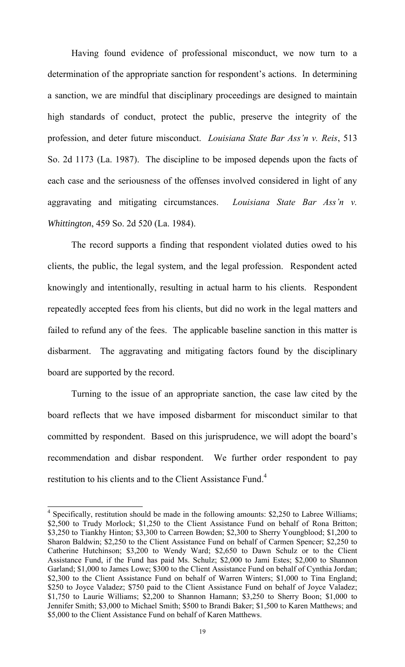Having found evidence of professional misconduct, we now turn to a determination of the appropriate sanction for respondent's actions. In determining a sanction, we are mindful that disciplinary proceedings are designed to maintain high standards of conduct, protect the public, preserve the integrity of the profession, and deter future misconduct. *Louisiana State Bar Ass'n v. Reis*, 513 So. 2d 1173 (La. 1987). The discipline to be imposed depends upon the facts of each case and the seriousness of the offenses involved considered in light of any aggravating and mitigating circumstances. *Louisiana State Bar Ass'n v. Whittington*, 459 So. 2d 520 (La. 1984).

The record supports a finding that respondent violated duties owed to his clients, the public, the legal system, and the legal profession. Respondent acted knowingly and intentionally, resulting in actual harm to his clients. Respondent repeatedly accepted fees from his clients, but did no work in the legal matters and failed to refund any of the fees. The applicable baseline sanction in this matter is disbarment. The aggravating and mitigating factors found by the disciplinary board are supported by the record.

 Turning to the issue of an appropriate sanction, the case law cited by the board reflects that we have imposed disbarment for misconduct similar to that committed by respondent. Based on this jurisprudence, we will adopt the board's recommendation and disbar respondent. We further order respondent to pay restitution to his clients and to the Client Assistance Fund.<sup>4</sup>

 $\overline{a}$ 

<sup>&</sup>lt;sup>4</sup> Specifically, restitution should be made in the following amounts: \$2,250 to Labree Williams; \$2,500 to Trudy Morlock; \$1,250 to the Client Assistance Fund on behalf of Rona Britton; \$3,250 to Tiankhy Hinton; \$3,300 to Carreen Bowden; \$2,300 to Sherry Youngblood; \$1,200 to Sharon Baldwin; \$2,250 to the Client Assistance Fund on behalf of Carmen Spencer; \$2,250 to Catherine Hutchinson; \$3,200 to Wendy Ward; \$2,650 to Dawn Schulz or to the Client Assistance Fund, if the Fund has paid Ms. Schulz; \$2,000 to Jami Estes; \$2,000 to Shannon Garland; \$1,000 to James Lowe; \$300 to the Client Assistance Fund on behalf of Cynthia Jordan; \$2,300 to the Client Assistance Fund on behalf of Warren Winters; \$1,000 to Tina England; \$250 to Joyce Valadez; \$750 paid to the Client Assistance Fund on behalf of Joyce Valadez; \$1,750 to Laurie Williams; \$2,200 to Shannon Hamann; \$3,250 to Sherry Boon; \$1,000 to Jennifer Smith; \$3,000 to Michael Smith; \$500 to Brandi Baker; \$1,500 to Karen Matthews; and \$5,000 to the Client Assistance Fund on behalf of Karen Matthews.